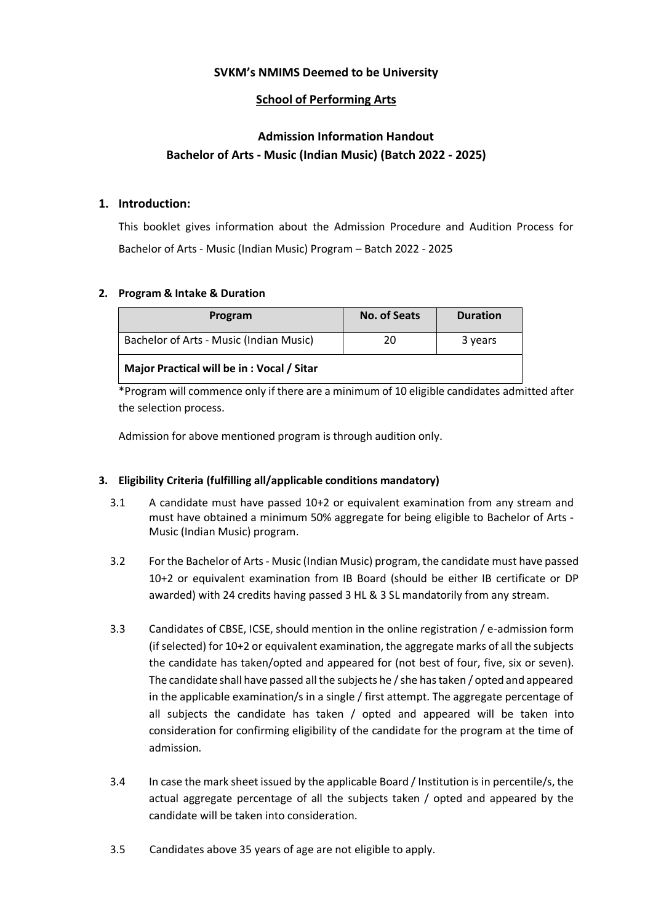# **SVKM's NMIMS Deemed to be University**

# **School of Performing Arts**

# **Admission Information Handout Bachelor of Arts - Music (Indian Music) (Batch 2022 - 2025)**

# **1. Introduction:**

This booklet gives information about the Admission Procedure and Audition Process for Bachelor of Arts - Music (Indian Music) Program – Batch 2022 - 2025

## **2. Program & Intake & Duration**

| Program                                   | <b>No. of Seats</b> | <b>Duration</b> |  |
|-------------------------------------------|---------------------|-----------------|--|
| Bachelor of Arts - Music (Indian Music)   | 20                  | 3 years         |  |
| Major Practical will be in: Vocal / Sitar |                     |                 |  |

\*Program will commence only if there are a minimum of 10 eligible candidates admitted after the selection process.

Admission for above mentioned program is through audition only.

# **3. Eligibility Criteria (fulfilling all/applicable conditions mandatory)**

- 3.1 A candidate must have passed 10+2 or equivalent examination from any stream and must have obtained a minimum 50% aggregate for being eligible to Bachelor of Arts - Music (Indian Music) program.
- 3.2 For the Bachelor of Arts Music (Indian Music) program, the candidate must have passed 10+2 or equivalent examination from IB Board (should be either IB certificate or DP awarded) with 24 credits having passed 3 HL & 3 SL mandatorily from any stream.
- 3.3 Candidates of CBSE, ICSE, should mention in the online registration / e-admission form (if selected) for 10+2 or equivalent examination, the aggregate marks of all the subjects the candidate has taken/opted and appeared for (not best of four, five, six or seven). The candidate shall have passed all the subjects he / she has taken / opted and appeared in the applicable examination/s in a single / first attempt. The aggregate percentage of all subjects the candidate has taken / opted and appeared will be taken into consideration for confirming eligibility of the candidate for the program at the time of admission.
- 3.4 In case the mark sheet issued by the applicable Board / Institution is in percentile/s, the actual aggregate percentage of all the subjects taken / opted and appeared by the candidate will be taken into consideration.
- 3.5 Candidates above 35 years of age are not eligible to apply.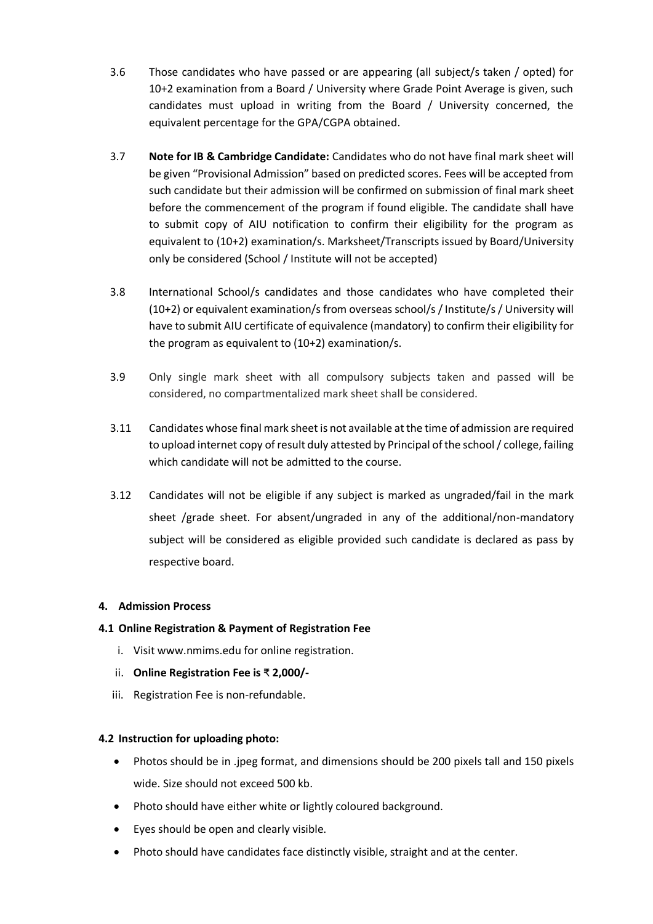- 3.6 Those candidates who have passed or are appearing (all subject/s taken / opted) for 10+2 examination from a Board / University where Grade Point Average is given, such candidates must upload in writing from the Board / University concerned, the equivalent percentage for the GPA/CGPA obtained.
- 3.7 **Note for IB & Cambridge Candidate:** Candidates who do not have final mark sheet will be given "Provisional Admission" based on predicted scores. Fees will be accepted from such candidate but their admission will be confirmed on submission of final mark sheet before the commencement of the program if found eligible. The candidate shall have to submit copy of AIU notification to confirm their eligibility for the program as equivalent to (10+2) examination/s. Marksheet/Transcripts issued by Board/University only be considered (School / Institute will not be accepted)
- 3.8 International School/s candidates and those candidates who have completed their (10+2) or equivalent examination/s from overseas school/s / Institute/s / University will have to submit AIU certificate of equivalence (mandatory) to confirm their eligibility for the program as equivalent to (10+2) examination/s.
- 3.9 Only single mark sheet with all compulsory subjects taken and passed will be considered, no compartmentalized mark sheet shall be considered.
- 3.11 Candidates whose final mark sheet is not available at the time of admission are required to upload internet copy of result duly attested by Principal of the school / college, failing which candidate will not be admitted to the course.
- 3.12 Candidates will not be eligible if any subject is marked as ungraded/fail in the mark sheet /grade sheet. For absent/ungraded in any of the additional/non-mandatory subject will be considered as eligible provided such candidate is declared as pass by respective board.

# **4. Admission Process**

# **4.1 Online Registration & Payment of Registration Fee**

- i. Visit www.nmims.edu for online registration.
- ii. **Online Registration Fee is** ₹ **2,000/-**
- iii. Registration Fee is non-refundable.

#### **4.2 Instruction for uploading photo:**

- Photos should be in .jpeg format, and dimensions should be 200 pixels tall and 150 pixels wide. Size should not exceed 500 kb.
- Photo should have either white or lightly coloured background.
- Eyes should be open and clearly visible.
- Photo should have candidates face distinctly visible, straight and at the center.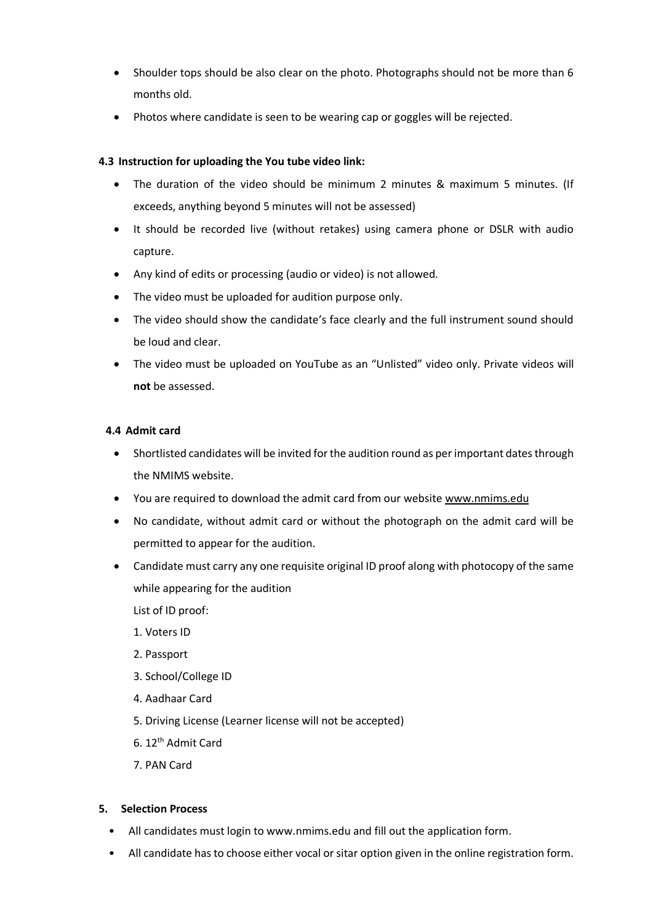- Shoulder tops should be also clear on the photo. Photographs should not be more than 6 months old.
- Photos where candidate is seen to be wearing cap or goggles will be rejected.

# **4.3 Instruction for uploading the You tube video link:**

- The duration of the video should be minimum 2 minutes & maximum 5 minutes. (If exceeds, anything beyond 5 minutes will not be assessed)
- It should be recorded live (without retakes) using camera phone or DSLR with audio capture.
- Any kind of edits or processing (audio or video) is not allowed.
- The video must be uploaded for audition purpose only.
- The video should show the candidate's face clearly and the full instrument sound should be loud and clear.
- The video must be uploaded on YouTube as an "Unlisted" video only. Private videos will **not** be assessed.

#### **4.4 Admit card**

- Shortlisted candidates will be invited for the audition round as per important dates through the NMIMS website.
- You are required to download the admit card from our website [www.nmims.edu](http://www.nmims.edu/)
- No candidate, without admit card or without the photograph on the admit card will be permitted to appear for the audition.
- Candidate must carry any one requisite original ID proof along with photocopy of the same while appearing for the audition
	- List of ID proof:
	- 1. Voters ID
	- 2. Passport
	- 3. School/College ID
	- 4. Aadhaar Card
	- 5. Driving License (Learner license will not be accepted)
	- 6. 12th Admit Card
	- 7. PAN Card

#### **5. Selection Process**

- All candidates must login to www.nmims.edu and fill out the application form.
- All candidate has to choose either vocal or sitar option given in the online registration form.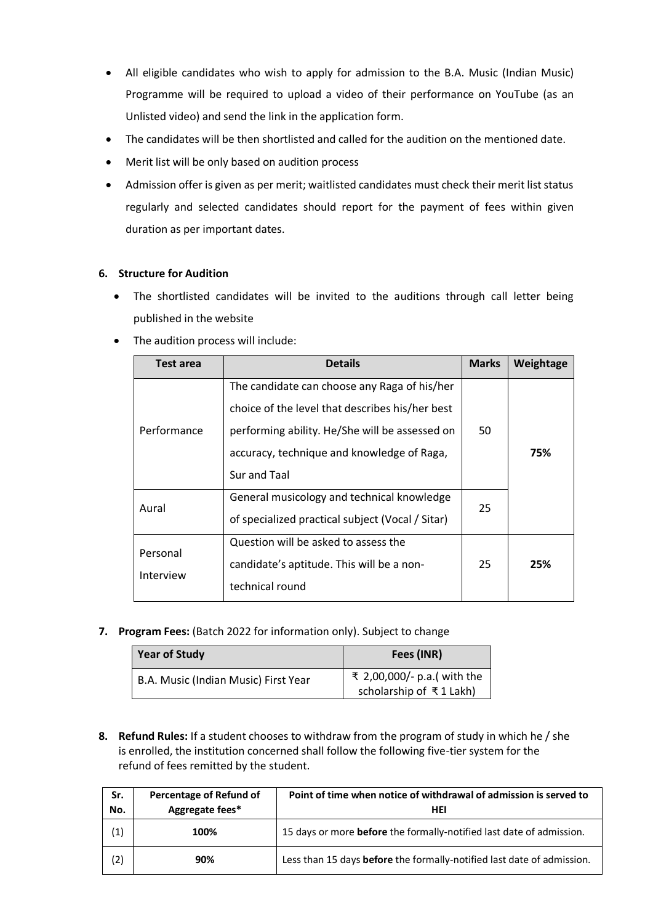- All eligible candidates who wish to apply for admission to the B.A. Music (Indian Music) Programme will be required to upload a video of their performance on YouTube (as an Unlisted video) and send the link in the application form.
- The candidates will be then shortlisted and called for the audition on the mentioned date.
- Merit list will be only based on audition process
- Admission offer is given as per merit; waitlisted candidates must check their merit list status regularly and selected candidates should report for the payment of fees within given duration as per important dates.

## **6. Structure for Audition**

 The shortlisted candidates will be invited to the auditions through call letter being published in the website

| Test area             | <b>Details</b>                                                                                                                                                                                                  | <b>Marks</b> | Weightage |
|-----------------------|-----------------------------------------------------------------------------------------------------------------------------------------------------------------------------------------------------------------|--------------|-----------|
| Performance           | The candidate can choose any Raga of his/her<br>choice of the level that describes his/her best<br>performing ability. He/She will be assessed on<br>accuracy, technique and knowledge of Raga,<br>Sur and Taal | 50           | 75%       |
| Aural                 | General musicology and technical knowledge<br>of specialized practical subject (Vocal / Sitar)                                                                                                                  | 25           |           |
| Personal<br>Interview | Question will be asked to assess the<br>candidate's aptitude. This will be a non-<br>technical round                                                                                                            | 25           | 25%       |

• The audition process will include:

**7. Program Fees:** (Batch 2022 for information only). Subject to change

| <b>Year of Study</b>                 | Fees (INR)                                             |  |
|--------------------------------------|--------------------------------------------------------|--|
| B.A. Music (Indian Music) First Year | ₹ 2,00,000/- p.a.( with the<br>scholarship of ₹1 Lakh) |  |

**8. Refund Rules:** If a student chooses to withdraw from the program of study in which he / she is enrolled, the institution concerned shall follow the following five-tier system for the refund of fees remitted by the student.

| Sr.<br>No. | Percentage of Refund of<br>Aggregate fees* | Point of time when notice of withdrawal of admission is served to<br>HEI |
|------------|--------------------------------------------|--------------------------------------------------------------------------|
| (1)        | 100%                                       | 15 days or more before the formally-notified last date of admission.     |
| (2)        | 90%                                        | Less than 15 days before the formally-notified last date of admission.   |